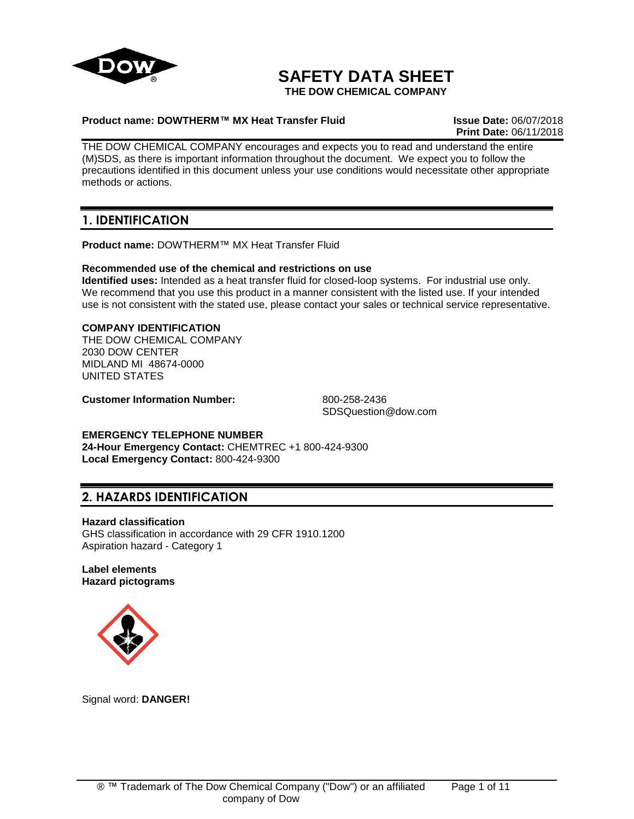

# **SAFETY DATA SHEET**

**THE DOW CHEMICAL COMPANY**

#### **Product name: DOWTHERM™ MX Heat Transfer Fluid Issue Date:** 06/07/2018

**Print Date:** 06/11/2018

THE DOW CHEMICAL COMPANY encourages and expects you to read and understand the entire (M)SDS, as there is important information throughout the document. We expect you to follow the precautions identified in this document unless your use conditions would necessitate other appropriate methods or actions.

## **1. IDENTIFICATION**

**Product name:** DOWTHERM™ MX Heat Transfer Fluid

#### **Recommended use of the chemical and restrictions on use**

**Identified uses:** Intended as a heat transfer fluid for closed-loop systems. For industrial use only. We recommend that you use this product in a manner consistent with the listed use. If your intended use is not consistent with the stated use, please contact your sales or technical service representative.

### **COMPANY IDENTIFICATION**

THE DOW CHEMICAL COMPANY 2030 DOW CENTER MIDLAND MI 48674-0000 UNITED STATES

**Customer Information Number:** 800-258-2436

SDSQuestion@dow.com

### **EMERGENCY TELEPHONE NUMBER**

**24-Hour Emergency Contact:** CHEMTREC +1 800-424-9300 **Local Emergency Contact:** 800-424-9300

## **2. HAZARDS IDENTIFICATION**

#### **Hazard classification**

GHS classification in accordance with 29 CFR 1910.1200 Aspiration hazard - Category 1

#### **Label elements Hazard pictograms**



Signal word: **DANGER!**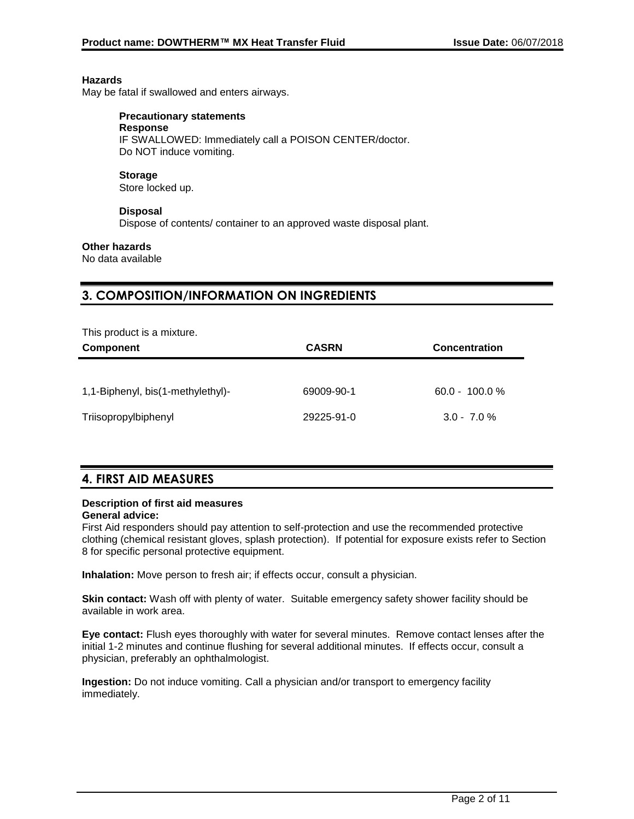#### **Hazards**

May be fatal if swallowed and enters airways.

## **Precautionary statements**

**Response** IF SWALLOWED: Immediately call a POISON CENTER/doctor. Do NOT induce vomiting.

#### **Storage**

Store locked up.

### **Disposal**

Dispose of contents/ container to an approved waste disposal plant.

#### **Other hazards**

No data available

## **3. COMPOSITION/INFORMATION ON INGREDIENTS**

| This product is a mixture. |  |
|----------------------------|--|
|----------------------------|--|

| <b>Component</b>                  | <b>CASRN</b> | <b>Concentration</b> |
|-----------------------------------|--------------|----------------------|
|                                   |              |                      |
| 1,1-Biphenyl, bis(1-methylethyl)- | 69009-90-1   | $60.0 - 100.0 %$     |
| Triisopropylbiphenyl              | 29225-91-0   | $3.0 - 7.0 \%$       |

## **4. FIRST AID MEASURES**

## **Description of first aid measures**

### **General advice:**

First Aid responders should pay attention to self-protection and use the recommended protective clothing (chemical resistant gloves, splash protection). If potential for exposure exists refer to Section 8 for specific personal protective equipment.

**Inhalation:** Move person to fresh air; if effects occur, consult a physician.

**Skin contact:** Wash off with plenty of water. Suitable emergency safety shower facility should be available in work area.

**Eye contact:** Flush eyes thoroughly with water for several minutes. Remove contact lenses after the initial 1-2 minutes and continue flushing for several additional minutes. If effects occur, consult a physician, preferably an ophthalmologist.

**Ingestion:** Do not induce vomiting. Call a physician and/or transport to emergency facility immediately.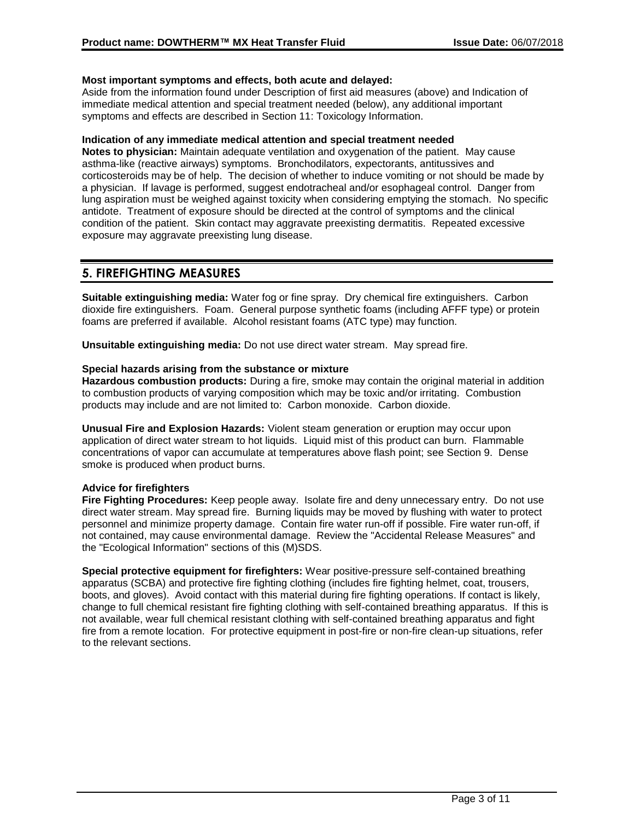#### **Most important symptoms and effects, both acute and delayed:**

Aside from the information found under Description of first aid measures (above) and Indication of immediate medical attention and special treatment needed (below), any additional important symptoms and effects are described in Section 11: Toxicology Information.

#### **Indication of any immediate medical attention and special treatment needed**

**Notes to physician:** Maintain adequate ventilation and oxygenation of the patient. May cause asthma-like (reactive airways) symptoms. Bronchodilators, expectorants, antitussives and corticosteroids may be of help. The decision of whether to induce vomiting or not should be made by a physician. If lavage is performed, suggest endotracheal and/or esophageal control. Danger from lung aspiration must be weighed against toxicity when considering emptying the stomach. No specific antidote. Treatment of exposure should be directed at the control of symptoms and the clinical condition of the patient. Skin contact may aggravate preexisting dermatitis. Repeated excessive exposure may aggravate preexisting lung disease.

## **5. FIREFIGHTING MEASURES**

**Suitable extinguishing media:** Water fog or fine spray. Dry chemical fire extinguishers. Carbon dioxide fire extinguishers. Foam. General purpose synthetic foams (including AFFF type) or protein foams are preferred if available. Alcohol resistant foams (ATC type) may function.

**Unsuitable extinguishing media:** Do not use direct water stream. May spread fire.

#### **Special hazards arising from the substance or mixture**

**Hazardous combustion products:** During a fire, smoke may contain the original material in addition to combustion products of varying composition which may be toxic and/or irritating. Combustion products may include and are not limited to: Carbon monoxide. Carbon dioxide.

**Unusual Fire and Explosion Hazards:** Violent steam generation or eruption may occur upon application of direct water stream to hot liquids. Liquid mist of this product can burn. Flammable concentrations of vapor can accumulate at temperatures above flash point; see Section 9. Dense smoke is produced when product burns.

### **Advice for firefighters**

**Fire Fighting Procedures:** Keep people away. Isolate fire and deny unnecessary entry. Do not use direct water stream. May spread fire. Burning liquids may be moved by flushing with water to protect personnel and minimize property damage. Contain fire water run-off if possible. Fire water run-off, if not contained, may cause environmental damage. Review the "Accidental Release Measures" and the "Ecological Information" sections of this (M)SDS.

**Special protective equipment for firefighters:** Wear positive-pressure self-contained breathing apparatus (SCBA) and protective fire fighting clothing (includes fire fighting helmet, coat, trousers, boots, and gloves). Avoid contact with this material during fire fighting operations. If contact is likely, change to full chemical resistant fire fighting clothing with self-contained breathing apparatus. If this is not available, wear full chemical resistant clothing with self-contained breathing apparatus and fight fire from a remote location. For protective equipment in post-fire or non-fire clean-up situations, refer to the relevant sections.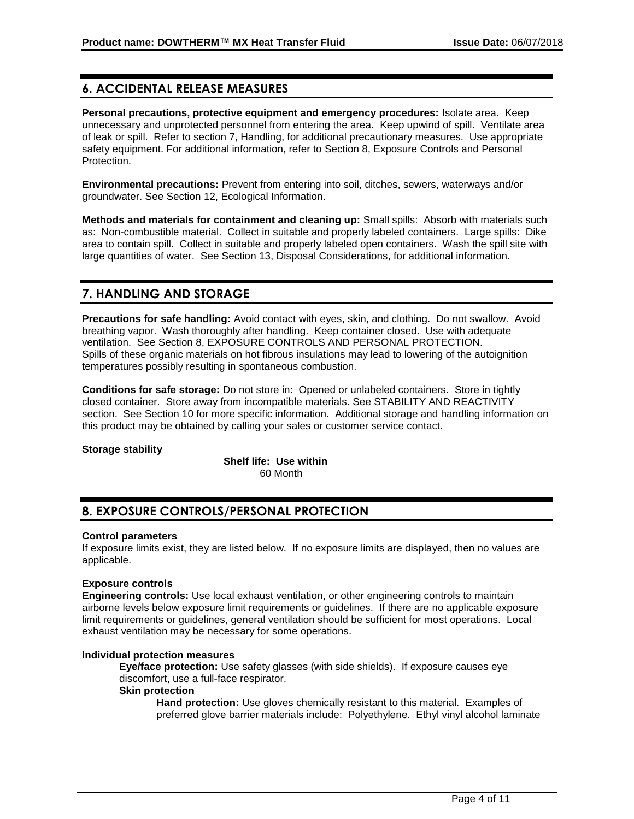## **6. ACCIDENTAL RELEASE MEASURES**

**Personal precautions, protective equipment and emergency procedures:** Isolate area. Keep unnecessary and unprotected personnel from entering the area. Keep upwind of spill. Ventilate area of leak or spill. Refer to section 7, Handling, for additional precautionary measures. Use appropriate safety equipment. For additional information, refer to Section 8, Exposure Controls and Personal Protection.

**Environmental precautions:** Prevent from entering into soil, ditches, sewers, waterways and/or groundwater. See Section 12, Ecological Information.

**Methods and materials for containment and cleaning up:** Small spills: Absorb with materials such as: Non-combustible material. Collect in suitable and properly labeled containers. Large spills: Dike area to contain spill. Collect in suitable and properly labeled open containers. Wash the spill site with large quantities of water. See Section 13, Disposal Considerations, for additional information.

## **7. HANDLING AND STORAGE**

**Precautions for safe handling:** Avoid contact with eyes, skin, and clothing. Do not swallow. Avoid breathing vapor. Wash thoroughly after handling. Keep container closed. Use with adequate ventilation. See Section 8, EXPOSURE CONTROLS AND PERSONAL PROTECTION. Spills of these organic materials on hot fibrous insulations may lead to lowering of the autoignition temperatures possibly resulting in spontaneous combustion.

**Conditions for safe storage:** Do not store in: Opened or unlabeled containers. Store in tightly closed container. Store away from incompatible materials. See STABILITY AND REACTIVITY section. See Section 10 for more specific information. Additional storage and handling information on this product may be obtained by calling your sales or customer service contact.

### **Storage stability**

**Shelf life: Use within** 60 Month

## **8. EXPOSURE CONTROLS/PERSONAL PROTECTION**

#### **Control parameters**

If exposure limits exist, they are listed below. If no exposure limits are displayed, then no values are applicable.

### **Exposure controls**

**Engineering controls:** Use local exhaust ventilation, or other engineering controls to maintain airborne levels below exposure limit requirements or guidelines. If there are no applicable exposure limit requirements or guidelines, general ventilation should be sufficient for most operations. Local exhaust ventilation may be necessary for some operations.

#### **Individual protection measures**

**Eye/face protection:** Use safety glasses (with side shields). If exposure causes eye discomfort, use a full-face respirator.

#### **Skin protection**

**Hand protection:** Use gloves chemically resistant to this material. Examples of preferred glove barrier materials include: Polyethylene. Ethyl vinyl alcohol laminate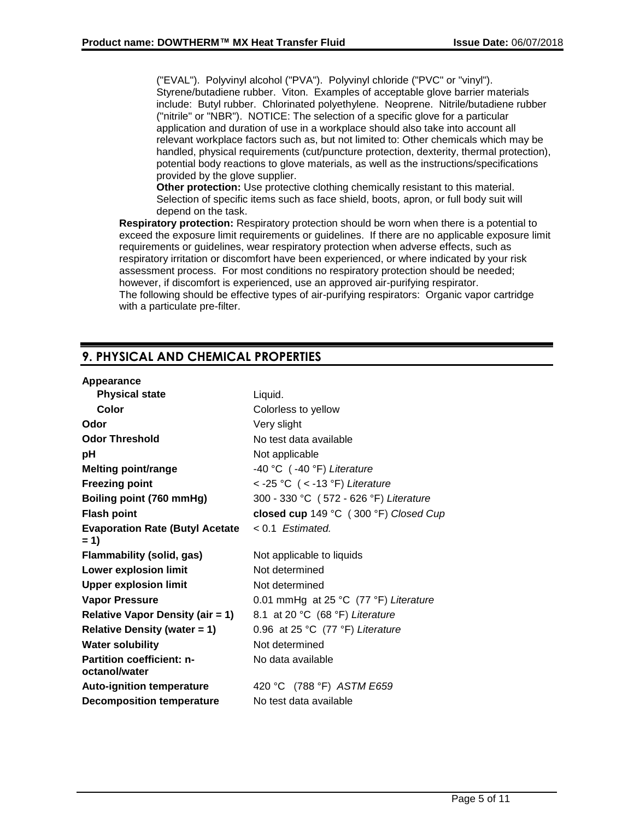("EVAL"). Polyvinyl alcohol ("PVA"). Polyvinyl chloride ("PVC" or "vinyl"). Styrene/butadiene rubber. Viton. Examples of acceptable glove barrier materials include: Butyl rubber. Chlorinated polyethylene. Neoprene. Nitrile/butadiene rubber ("nitrile" or "NBR"). NOTICE: The selection of a specific glove for a particular application and duration of use in a workplace should also take into account all relevant workplace factors such as, but not limited to: Other chemicals which may be handled, physical requirements (cut/puncture protection, dexterity, thermal protection), potential body reactions to glove materials, as well as the instructions/specifications provided by the glove supplier.

**Other protection:** Use protective clothing chemically resistant to this material. Selection of specific items such as face shield, boots, apron, or full body suit will depend on the task.

**Respiratory protection:** Respiratory protection should be worn when there is a potential to exceed the exposure limit requirements or guidelines. If there are no applicable exposure limit requirements or guidelines, wear respiratory protection when adverse effects, such as respiratory irritation or discomfort have been experienced, or where indicated by your risk assessment process. For most conditions no respiratory protection should be needed; however, if discomfort is experienced, use an approved air-purifying respirator. The following should be effective types of air-purifying respirators: Organic vapor cartridge with a particulate pre-filter.

## **9. PHYSICAL AND CHEMICAL PROPERTIES**

#### **Appearance**

| <b>Physical state</b>                             | Liquid.                                |
|---------------------------------------------------|----------------------------------------|
| Color                                             | Colorless to yellow                    |
| Odor                                              | Very slight                            |
| <b>Odor Threshold</b>                             | No test data available                 |
| рH                                                | Not applicable                         |
| <b>Melting point/range</b>                        | $-40$ °C ( $-40$ °F) Literature        |
| <b>Freezing point</b>                             | < -25 °C (< -13 °F) Literature         |
| Boiling point (760 mmHg)                          | 300 - 330 °C (572 - 626 °F) Literature |
| <b>Flash point</b>                                | closed cup 149 °C (300 °F) Closed Cup  |
| <b>Evaporation Rate (Butyl Acetate</b><br>= 1)    | $< 0.1$ Estimated.                     |
| Flammability (solid, gas)                         | Not applicable to liquids              |
| <b>Lower explosion limit</b>                      | Not determined                         |
| <b>Upper explosion limit</b>                      | Not determined                         |
| <b>Vapor Pressure</b>                             | 0.01 mmHg at 25 °C (77 °F) Literature  |
| <b>Relative Vapor Density (air = 1)</b>           | 8.1 at 20 °C (68 °F) Literature        |
| <b>Relative Density (water = 1)</b>               | 0.96 at 25 °C (77 °F) Literature       |
| <b>Water solubility</b>                           | Not determined                         |
| <b>Partition coefficient: n-</b><br>octanol/water | No data available                      |
| <b>Auto-ignition temperature</b>                  | 420 °C (788 °F) ASTM E659              |
| <b>Decomposition temperature</b>                  | No test data available                 |
|                                                   |                                        |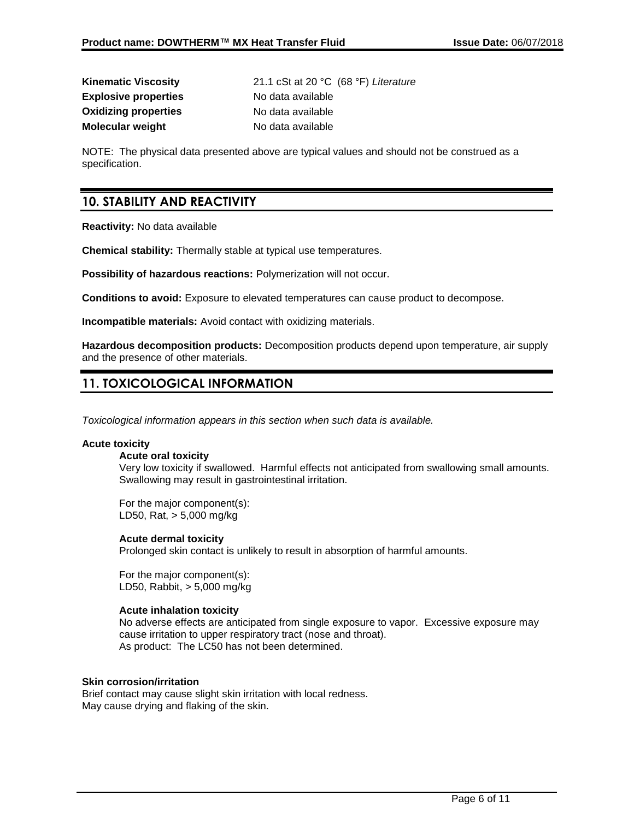**Explosive properties** No data available **Oxidizing properties** No data available **Molecular weight** No data available

**Kinematic Viscosity** 21.1 cSt at 20 °C (68 °F) *Literature*

NOTE: The physical data presented above are typical values and should not be construed as a specification.

## **10. STABILITY AND REACTIVITY**

**Reactivity:** No data available

**Chemical stability:** Thermally stable at typical use temperatures.

**Possibility of hazardous reactions:** Polymerization will not occur.

**Conditions to avoid:** Exposure to elevated temperatures can cause product to decompose.

**Incompatible materials:** Avoid contact with oxidizing materials.

**Hazardous decomposition products:** Decomposition products depend upon temperature, air supply and the presence of other materials.

## **11. TOXICOLOGICAL INFORMATION**

*Toxicological information appears in this section when such data is available.*

#### **Acute toxicity**

#### **Acute oral toxicity**

Very low toxicity if swallowed. Harmful effects not anticipated from swallowing small amounts. Swallowing may result in gastrointestinal irritation.

For the major component(s): LD50, Rat, > 5,000 mg/kg

#### **Acute dermal toxicity**

Prolonged skin contact is unlikely to result in absorption of harmful amounts.

For the major component(s): LD50, Rabbit, > 5,000 mg/kg

#### **Acute inhalation toxicity**

No adverse effects are anticipated from single exposure to vapor. Excessive exposure may cause irritation to upper respiratory tract (nose and throat). As product: The LC50 has not been determined.

#### **Skin corrosion/irritation**

Brief contact may cause slight skin irritation with local redness. May cause drying and flaking of the skin.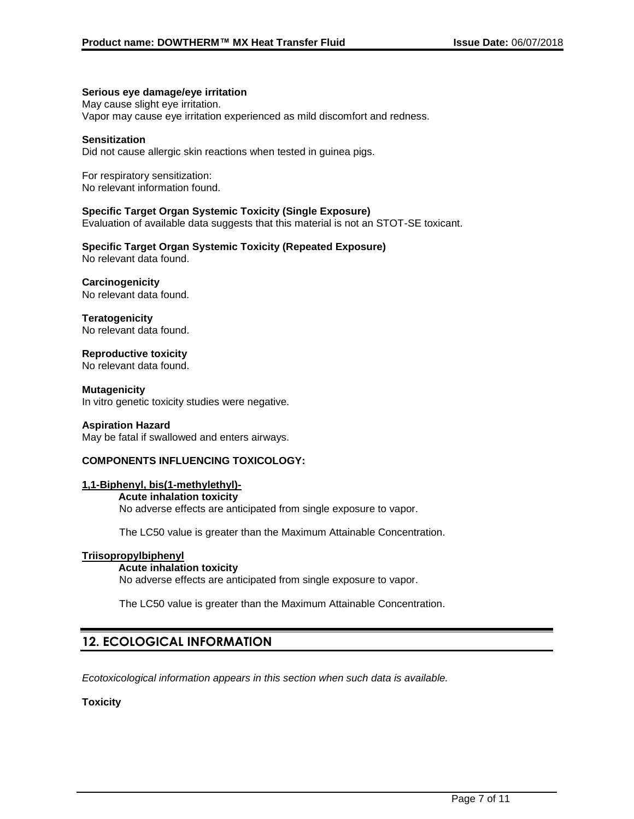#### **Serious eye damage/eye irritation**

May cause slight eye irritation. Vapor may cause eye irritation experienced as mild discomfort and redness.

#### **Sensitization**

Did not cause allergic skin reactions when tested in guinea pigs.

For respiratory sensitization: No relevant information found.

#### **Specific Target Organ Systemic Toxicity (Single Exposure)**

Evaluation of available data suggests that this material is not an STOT-SE toxicant.

#### **Specific Target Organ Systemic Toxicity (Repeated Exposure)** No relevant data found.

#### **Carcinogenicity**

No relevant data found.

**Teratogenicity** No relevant data found.

**Reproductive toxicity**

No relevant data found.

**Mutagenicity** In vitro genetic toxicity studies were negative.

#### **Aspiration Hazard**

May be fatal if swallowed and enters airways.

### **COMPONENTS INFLUENCING TOXICOLOGY:**

#### **1,1-Biphenyl, bis(1-methylethyl)-**

#### **Acute inhalation toxicity** No adverse effects are anticipated from single exposure to vapor.

The LC50 value is greater than the Maximum Attainable Concentration.

#### **Triisopropylbiphenyl**

#### **Acute inhalation toxicity**

No adverse effects are anticipated from single exposure to vapor.

The LC50 value is greater than the Maximum Attainable Concentration.

## **12. ECOLOGICAL INFORMATION**

*Ecotoxicological information appears in this section when such data is available.*

#### **Toxicity**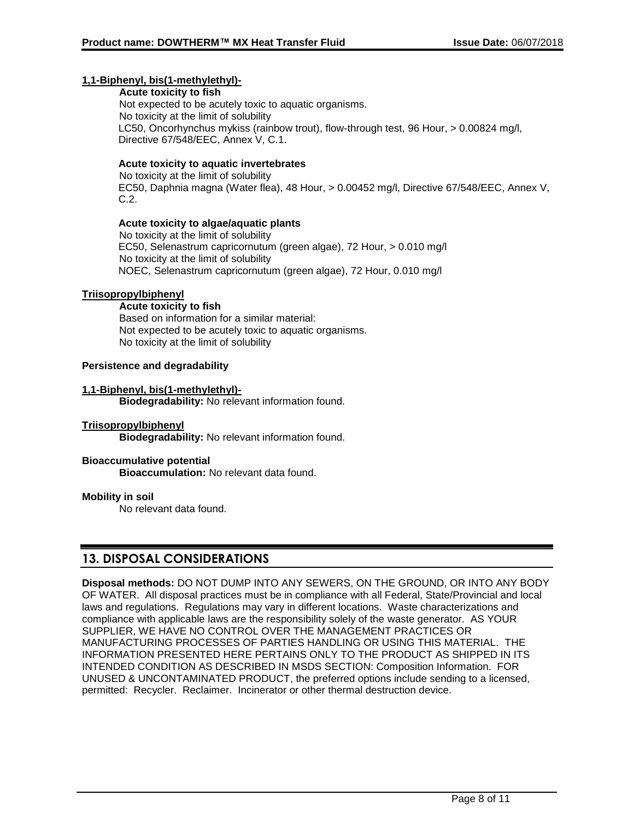### **1,1-Biphenyl, bis(1-methylethyl)-**

**Acute toxicity to fish** Not expected to be acutely toxic to aquatic organisms. No toxicity at the limit of solubility LC50, Oncorhynchus mykiss (rainbow trout), flow-through test, 96 Hour, > 0.00824 mg/l, Directive 67/548/EEC, Annex V, C.1.

#### **Acute toxicity to aquatic invertebrates**

No toxicity at the limit of solubility EC50, Daphnia magna (Water flea), 48 Hour, > 0.00452 mg/l, Directive 67/548/EEC, Annex V, C.2.

#### **Acute toxicity to algae/aquatic plants**

No toxicity at the limit of solubility EC50, Selenastrum capricornutum (green algae), 72 Hour, > 0.010 mg/l No toxicity at the limit of solubility NOEC, Selenastrum capricornutum (green algae), 72 Hour, 0.010 mg/l

#### **Triisopropylbiphenyl**

#### **Acute toxicity to fish**

Based on information for a similar material: Not expected to be acutely toxic to aquatic organisms. No toxicity at the limit of solubility

### **Persistence and degradability**

#### **1,1-Biphenyl, bis(1-methylethyl)-**

**Biodegradability:** No relevant information found.

#### **Triisopropylbiphenyl**

**Biodegradability:** No relevant information found.

#### **Bioaccumulative potential**

**Bioaccumulation:** No relevant data found.

#### **Mobility in soil**

No relevant data found.

## **13. DISPOSAL CONSIDERATIONS**

**Disposal methods:** DO NOT DUMP INTO ANY SEWERS, ON THE GROUND, OR INTO ANY BODY OF WATER. All disposal practices must be in compliance with all Federal, State/Provincial and local laws and regulations. Regulations may vary in different locations. Waste characterizations and compliance with applicable laws are the responsibility solely of the waste generator. AS YOUR SUPPLIER, WE HAVE NO CONTROL OVER THE MANAGEMENT PRACTICES OR MANUFACTURING PROCESSES OF PARTIES HANDLING OR USING THIS MATERIAL. THE INFORMATION PRESENTED HERE PERTAINS ONLY TO THE PRODUCT AS SHIPPED IN ITS INTENDED CONDITION AS DESCRIBED IN MSDS SECTION: Composition Information. FOR UNUSED & UNCONTAMINATED PRODUCT, the preferred options include sending to a licensed, permitted: Recycler. Reclaimer. Incinerator or other thermal destruction device.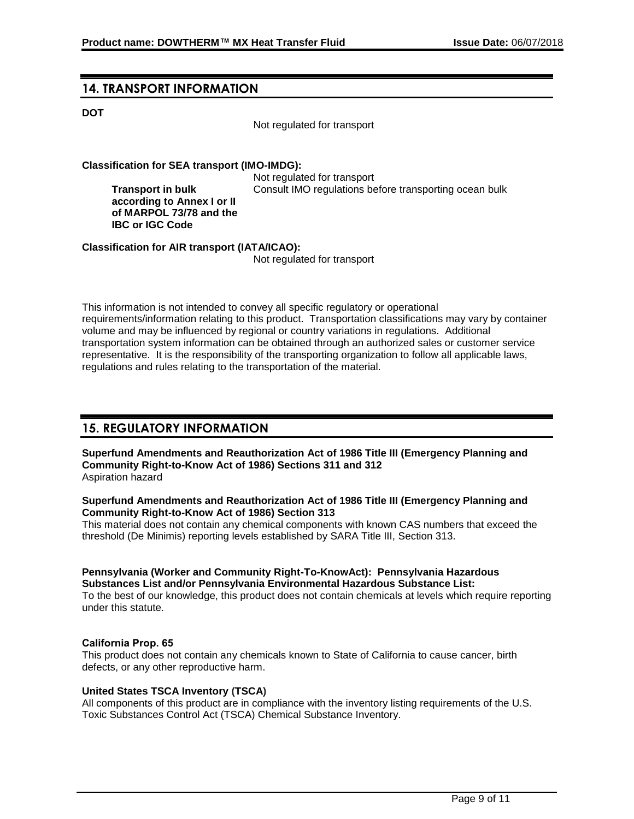## **14. TRANSPORT INFORMATION**

**Transport in bulk** 

**IBC or IGC Code**

### **DOT**

Not regulated for transport

### **Classification for SEA transport (IMO-IMDG):**

Not regulated for transport **according to Annex I or II of MARPOL 73/78 and the**  Consult IMO regulations before transporting ocean bulk

**Classification for AIR transport (IATA/ICAO):**

Not regulated for transport

This information is not intended to convey all specific regulatory or operational requirements/information relating to this product. Transportation classifications may vary by container volume and may be influenced by regional or country variations in regulations. Additional transportation system information can be obtained through an authorized sales or customer service representative. It is the responsibility of the transporting organization to follow all applicable laws, regulations and rules relating to the transportation of the material.

## **15. REGULATORY INFORMATION**

**Superfund Amendments and Reauthorization Act of 1986 Title III (Emergency Planning and Community Right-to-Know Act of 1986) Sections 311 and 312** Aspiration hazard

#### **Superfund Amendments and Reauthorization Act of 1986 Title III (Emergency Planning and Community Right-to-Know Act of 1986) Section 313**

This material does not contain any chemical components with known CAS numbers that exceed the threshold (De Minimis) reporting levels established by SARA Title III, Section 313.

#### **Pennsylvania (Worker and Community Right-To-KnowAct): Pennsylvania Hazardous Substances List and/or Pennsylvania Environmental Hazardous Substance List:**

To the best of our knowledge, this product does not contain chemicals at levels which require reporting under this statute.

### **California Prop. 65**

This product does not contain any chemicals known to State of California to cause cancer, birth defects, or any other reproductive harm.

### **United States TSCA Inventory (TSCA)**

All components of this product are in compliance with the inventory listing requirements of the U.S. Toxic Substances Control Act (TSCA) Chemical Substance Inventory.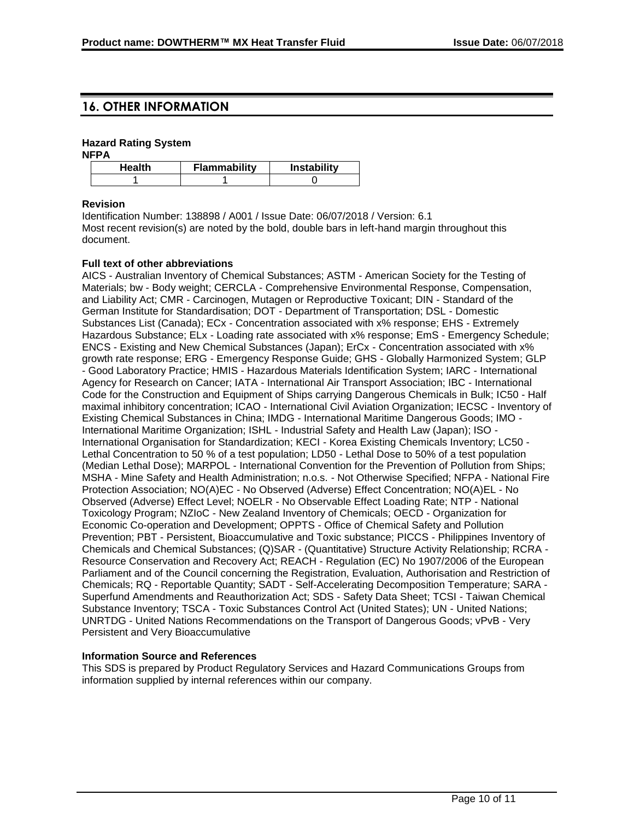## **16. OTHER INFORMATION**

#### **Hazard Rating System**

**NFPA**

| Health | Flammability | <b>Instability</b> |
|--------|--------------|--------------------|
|        |              |                    |

#### **Revision**

Identification Number: 138898 / A001 / Issue Date: 06/07/2018 / Version: 6.1 Most recent revision(s) are noted by the bold, double bars in left-hand margin throughout this document.

#### **Full text of other abbreviations**

AICS - Australian Inventory of Chemical Substances; ASTM - American Society for the Testing of Materials; bw - Body weight; CERCLA - Comprehensive Environmental Response, Compensation, and Liability Act; CMR - Carcinogen, Mutagen or Reproductive Toxicant; DIN - Standard of the German Institute for Standardisation; DOT - Department of Transportation; DSL - Domestic Substances List (Canada); ECx - Concentration associated with x% response; EHS - Extremely Hazardous Substance; ELx - Loading rate associated with x% response; EmS - Emergency Schedule; ENCS - Existing and New Chemical Substances (Japan); ErCx - Concentration associated with x% growth rate response; ERG - Emergency Response Guide; GHS - Globally Harmonized System; GLP - Good Laboratory Practice; HMIS - Hazardous Materials Identification System; IARC - International Agency for Research on Cancer; IATA - International Air Transport Association; IBC - International Code for the Construction and Equipment of Ships carrying Dangerous Chemicals in Bulk; IC50 - Half maximal inhibitory concentration; ICAO - International Civil Aviation Organization; IECSC - Inventory of Existing Chemical Substances in China; IMDG - International Maritime Dangerous Goods; IMO - International Maritime Organization; ISHL - Industrial Safety and Health Law (Japan); ISO - International Organisation for Standardization; KECI - Korea Existing Chemicals Inventory; LC50 - Lethal Concentration to 50 % of a test population; LD50 - Lethal Dose to 50% of a test population (Median Lethal Dose); MARPOL - International Convention for the Prevention of Pollution from Ships; MSHA - Mine Safety and Health Administration; n.o.s. - Not Otherwise Specified; NFPA - National Fire Protection Association; NO(A)EC - No Observed (Adverse) Effect Concentration; NO(A)EL - No Observed (Adverse) Effect Level; NOELR - No Observable Effect Loading Rate; NTP - National Toxicology Program; NZIoC - New Zealand Inventory of Chemicals; OECD - Organization for Economic Co-operation and Development; OPPTS - Office of Chemical Safety and Pollution Prevention; PBT - Persistent, Bioaccumulative and Toxic substance; PICCS - Philippines Inventory of Chemicals and Chemical Substances; (Q)SAR - (Quantitative) Structure Activity Relationship; RCRA - Resource Conservation and Recovery Act; REACH - Regulation (EC) No 1907/2006 of the European Parliament and of the Council concerning the Registration, Evaluation, Authorisation and Restriction of Chemicals; RQ - Reportable Quantity; SADT - Self-Accelerating Decomposition Temperature; SARA - Superfund Amendments and Reauthorization Act; SDS - Safety Data Sheet; TCSI - Taiwan Chemical Substance Inventory; TSCA - Toxic Substances Control Act (United States); UN - United Nations; UNRTDG - United Nations Recommendations on the Transport of Dangerous Goods; vPvB - Very Persistent and Very Bioaccumulative

### **Information Source and References**

This SDS is prepared by Product Regulatory Services and Hazard Communications Groups from information supplied by internal references within our company.